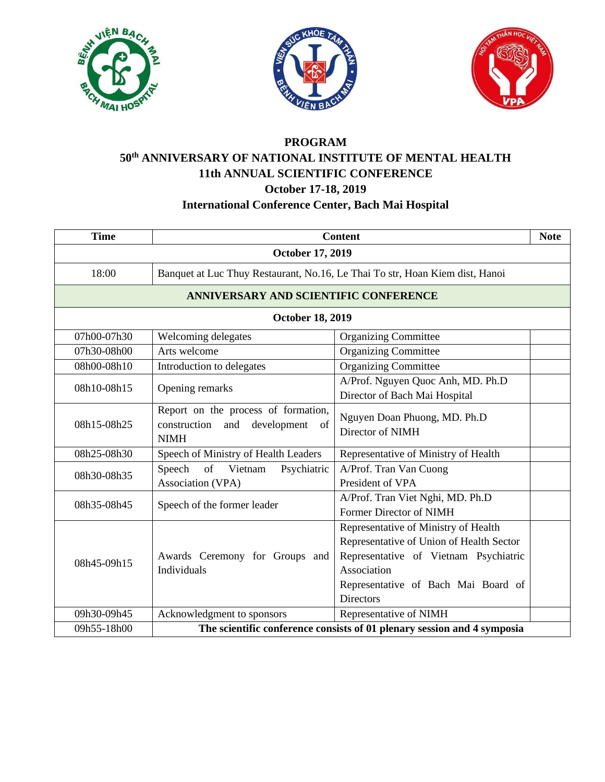





## **PROGRAM**

## **50th ANNIVERSARY OF NATIONAL INSTITUTE OF MENTAL HEALTH 11th ANNUAL SCIENTIFIC CONFERENCE October 17-18, 2019**

## **International Conference Center, Bach Mai Hospital**

| <b>Time</b>                           | <b>Content</b>                                                                              |                                                                                                                                                                                                     | <b>Note</b> |
|---------------------------------------|---------------------------------------------------------------------------------------------|-----------------------------------------------------------------------------------------------------------------------------------------------------------------------------------------------------|-------------|
| <b>October 17, 2019</b>               |                                                                                             |                                                                                                                                                                                                     |             |
| 18:00                                 | Banquet at Luc Thuy Restaurant, No.16, Le Thai To str, Hoan Kiem dist, Hanoi                |                                                                                                                                                                                                     |             |
| ANNIVERSARY AND SCIENTIFIC CONFERENCE |                                                                                             |                                                                                                                                                                                                     |             |
| <b>October 18, 2019</b>               |                                                                                             |                                                                                                                                                                                                     |             |
| 07h00-07h30                           | Welcoming delegates                                                                         | <b>Organizing Committee</b>                                                                                                                                                                         |             |
| 07h30-08h00                           | Arts welcome                                                                                | <b>Organizing Committee</b>                                                                                                                                                                         |             |
| 08h00-08h10                           | Introduction to delegates                                                                   | <b>Organizing Committee</b>                                                                                                                                                                         |             |
| 08h10-08h15                           | Opening remarks                                                                             | A/Prof. Nguyen Quoc Anh, MD. Ph.D<br>Director of Bach Mai Hospital                                                                                                                                  |             |
| 08h15-08h25                           | Report on the process of formation,<br>construction and<br>development<br>of<br><b>NIMH</b> | Nguyen Doan Phuong, MD. Ph.D<br>Director of NIMH                                                                                                                                                    |             |
| 08h25-08h30                           | Speech of Ministry of Health Leaders                                                        | Representative of Ministry of Health                                                                                                                                                                |             |
| 08h30-08h35                           | of<br>Vietnam<br>Speech<br>Psychiatric<br>Association (VPA)                                 | A/Prof. Tran Van Cuong<br>President of VPA                                                                                                                                                          |             |
| 08h35-08h45                           | Speech of the former leader                                                                 | A/Prof. Tran Viet Nghi, MD. Ph.D<br>Former Director of NIMH                                                                                                                                         |             |
| 08h45-09h15                           | Awards Ceremony for Groups and<br>Individuals                                               | Representative of Ministry of Health<br>Representative of Union of Health Sector<br>Representative of Vietnam Psychiatric<br>Association<br>Representative of Bach Mai Board of<br><b>Directors</b> |             |
| 09h30-09h45                           | Acknowledgment to sponsors                                                                  | Representative of NIMH                                                                                                                                                                              |             |
| 09h55-18h00                           | The scientific conference consists of 01 plenary session and 4 symposia                     |                                                                                                                                                                                                     |             |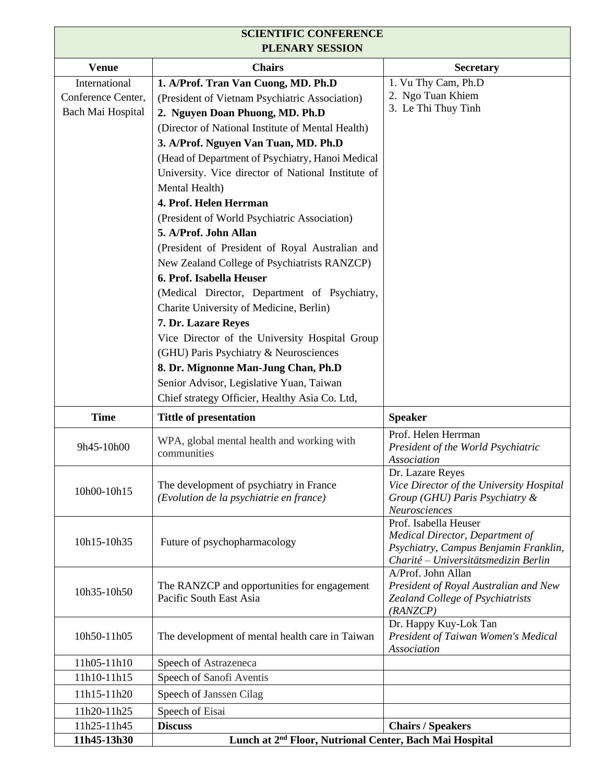| <b>SCIENTIFIC CONFERENCE</b><br>PLENARY SESSION          |                                                                                                                                                                                                                                                                                                                                                                                                                                                                                                                                                                                                                                                                                                                                                                                                                                                                                      |                                                                                                                                           |  |
|----------------------------------------------------------|--------------------------------------------------------------------------------------------------------------------------------------------------------------------------------------------------------------------------------------------------------------------------------------------------------------------------------------------------------------------------------------------------------------------------------------------------------------------------------------------------------------------------------------------------------------------------------------------------------------------------------------------------------------------------------------------------------------------------------------------------------------------------------------------------------------------------------------------------------------------------------------|-------------------------------------------------------------------------------------------------------------------------------------------|--|
| <b>Venue</b>                                             | <b>Chairs</b>                                                                                                                                                                                                                                                                                                                                                                                                                                                                                                                                                                                                                                                                                                                                                                                                                                                                        | <b>Secretary</b>                                                                                                                          |  |
| International<br>Conference Center,<br>Bach Mai Hospital | 1. A/Prof. Tran Van Cuong, MD. Ph.D<br>(President of Vietnam Psychiatric Association)<br>2. Nguyen Doan Phuong, MD. Ph.D<br>(Director of National Institute of Mental Health)<br>3. A/Prof. Nguyen Van Tuan, MD. Ph.D<br>(Head of Department of Psychiatry, Hanoi Medical<br>University. Vice director of National Institute of<br>Mental Health)<br>4. Prof. Helen Herrman<br>(President of World Psychiatric Association)<br>5. A/Prof. John Allan<br>(President of President of Royal Australian and<br>New Zealand College of Psychiatrists RANZCP)<br>6. Prof. Isabella Heuser<br>(Medical Director, Department of Psychiatry,<br>Charite University of Medicine, Berlin)<br>7. Dr. Lazare Reyes<br>Vice Director of the University Hospital Group<br>(GHU) Paris Psychiatry & Neurosciences<br>8. Dr. Mignonne Man-Jung Chan, Ph.D<br>Senior Advisor, Legislative Yuan, Taiwan | 1. Vu Thy Cam, Ph.D<br>2. Ngo Tuan Khiem<br>3. Le Thi Thuy Tinh                                                                           |  |
| <b>Time</b>                                              | Chief strategy Officier, Healthy Asia Co. Ltd,<br><b>Tittle of presentation</b>                                                                                                                                                                                                                                                                                                                                                                                                                                                                                                                                                                                                                                                                                                                                                                                                      | <b>Speaker</b>                                                                                                                            |  |
| 9h45-10h00                                               | WPA, global mental health and working with<br>communities                                                                                                                                                                                                                                                                                                                                                                                                                                                                                                                                                                                                                                                                                                                                                                                                                            | Prof. Helen Herrman<br>President of the World Psychiatric<br>Association                                                                  |  |
| 10h00-10h15                                              | The development of psychiatry in France<br>(Evolution de la psychiatrie en france)                                                                                                                                                                                                                                                                                                                                                                                                                                                                                                                                                                                                                                                                                                                                                                                                   | Dr. Lazare Reyes<br>Vice Director of the University Hospital<br>Group (GHU) Paris Psychiatry &<br>Neurosciences                           |  |
| 10h15-10h35                                              | Future of psychopharmacology                                                                                                                                                                                                                                                                                                                                                                                                                                                                                                                                                                                                                                                                                                                                                                                                                                                         | Prof. Isabella Heuser<br>Medical Director, Department of<br>Psychiatry, Campus Benjamin Franklin,<br>Charité - Universitätsmedizin Berlin |  |
| 10h35-10h50                                              | The RANZCP and opportunities for engagement<br>Pacific South East Asia                                                                                                                                                                                                                                                                                                                                                                                                                                                                                                                                                                                                                                                                                                                                                                                                               | A/Prof. John Allan<br>President of Royal Australian and New<br>Zealand College of Psychiatrists<br>(RANZCP)                               |  |
| 10h50-11h05                                              | The development of mental health care in Taiwan                                                                                                                                                                                                                                                                                                                                                                                                                                                                                                                                                                                                                                                                                                                                                                                                                                      | Dr. Happy Kuy-Lok Tan<br>President of Taiwan Women's Medical<br>Association                                                               |  |
| 11h05-11h10                                              | Speech of Astrazeneca                                                                                                                                                                                                                                                                                                                                                                                                                                                                                                                                                                                                                                                                                                                                                                                                                                                                |                                                                                                                                           |  |
| 11h10-11h15                                              | Speech of Sanofi Aventis                                                                                                                                                                                                                                                                                                                                                                                                                                                                                                                                                                                                                                                                                                                                                                                                                                                             |                                                                                                                                           |  |
| 11h15-11h20                                              | Speech of Janssen Cilag                                                                                                                                                                                                                                                                                                                                                                                                                                                                                                                                                                                                                                                                                                                                                                                                                                                              |                                                                                                                                           |  |
| 11h20-11h25                                              | Speech of Eisai                                                                                                                                                                                                                                                                                                                                                                                                                                                                                                                                                                                                                                                                                                                                                                                                                                                                      |                                                                                                                                           |  |
| 11h25-11h45                                              | <b>Discuss</b>                                                                                                                                                                                                                                                                                                                                                                                                                                                                                                                                                                                                                                                                                                                                                                                                                                                                       | <b>Chairs / Speakers</b>                                                                                                                  |  |
| 11h45-13h30                                              | Lunch at 2 <sup>nd</sup> Floor, Nutrional Center, Bach Mai Hospital                                                                                                                                                                                                                                                                                                                                                                                                                                                                                                                                                                                                                                                                                                                                                                                                                  |                                                                                                                                           |  |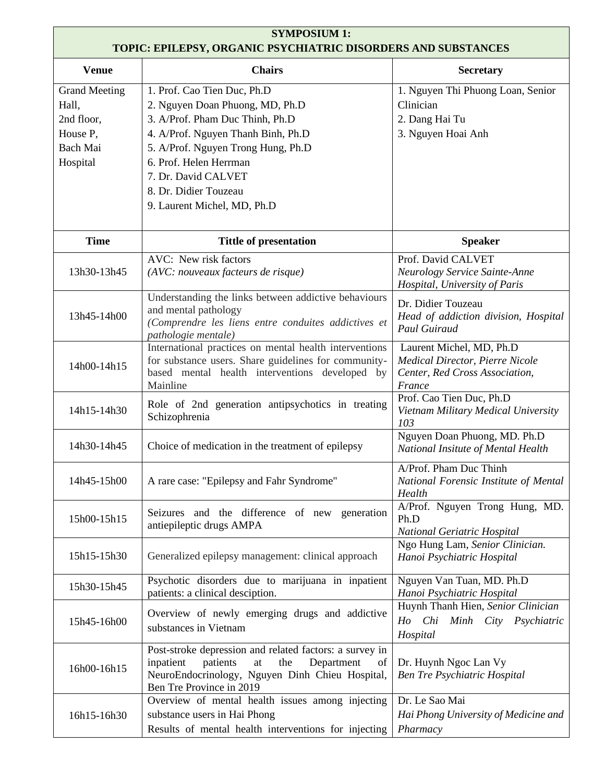| <b>SYMPOSIUM 1:</b><br>TOPIC: EPILEPSY, ORGANIC PSYCHIATRIC DISORDERS AND SUBSTANCES |                                                                                                                                                                                                                                                                                        |                                                                                                         |  |
|--------------------------------------------------------------------------------------|----------------------------------------------------------------------------------------------------------------------------------------------------------------------------------------------------------------------------------------------------------------------------------------|---------------------------------------------------------------------------------------------------------|--|
| <b>Venue</b>                                                                         | <b>Chairs</b>                                                                                                                                                                                                                                                                          | <b>Secretary</b>                                                                                        |  |
| <b>Grand Meeting</b><br>Hall,<br>2nd floor,<br>House P,<br>Bach Mai<br>Hospital      | 1. Prof. Cao Tien Duc, Ph.D<br>2. Nguyen Doan Phuong, MD, Ph.D<br>3. A/Prof. Pham Duc Thinh, Ph.D<br>4. A/Prof. Nguyen Thanh Binh, Ph.D<br>5. A/Prof. Nguyen Trong Hung, Ph.D<br>6. Prof. Helen Herrman<br>7. Dr. David CALVET<br>8. Dr. Didier Touzeau<br>9. Laurent Michel, MD, Ph.D | 1. Nguyen Thi Phuong Loan, Senior<br>Clinician<br>2. Dang Hai Tu<br>3. Nguyen Hoai Anh                  |  |
| <b>Time</b>                                                                          | <b>Tittle of presentation</b>                                                                                                                                                                                                                                                          | <b>Speaker</b>                                                                                          |  |
| 13h30-13h45                                                                          | AVC: New risk factors<br>(AVC: nouveaux facteurs de risque)                                                                                                                                                                                                                            | Prof. David CALVET<br>Neurology Service Sainte-Anne<br>Hospital, University of Paris                    |  |
| 13h45-14h00                                                                          | Understanding the links between addictive behaviours<br>and mental pathology<br>(Comprendre les liens entre conduites addictives et<br>pathologie mentale)                                                                                                                             | Dr. Didier Touzeau<br>Head of addiction division, Hospital<br><b>Paul Guiraud</b>                       |  |
| 14h00-14h15                                                                          | International practices on mental health interventions<br>for substance users. Share guidelines for community-<br>based mental health interventions developed by<br>Mainline                                                                                                           | Laurent Michel, MD, Ph.D<br>Medical Director, Pierre Nicole<br>Center, Red Cross Association,<br>France |  |
| 14h15-14h30                                                                          | Role of 2nd generation antipsychotics in treating<br>Schizophrenia                                                                                                                                                                                                                     | Prof. Cao Tien Duc, Ph.D<br>Vietnam Military Medical University<br>103                                  |  |
| 14h30-14h45                                                                          | Choice of medication in the treatment of epilepsy                                                                                                                                                                                                                                      | Nguyen Doan Phuong, MD. Ph.D<br>National Insitute of Mental Health                                      |  |
| 14h45-15h00                                                                          | A rare case: "Epilepsy and Fahr Syndrome"                                                                                                                                                                                                                                              | A/Prof. Pham Duc Thinh<br>National Forensic Institute of Mental<br>Health                               |  |
| 15h00-15h15                                                                          | Seizures and the difference of new generation<br>antiepileptic drugs AMPA                                                                                                                                                                                                              | A/Prof. Nguyen Trong Hung, MD.<br>Ph.D<br>National Geriatric Hospital                                   |  |
| 15h15-15h30                                                                          | Generalized epilepsy management: clinical approach                                                                                                                                                                                                                                     | Ngo Hung Lam, Senior Clinician.<br>Hanoi Psychiatric Hospital                                           |  |
| 15h30-15h45                                                                          | Psychotic disorders due to marijuana in inpatient<br>patients: a clinical desciption.                                                                                                                                                                                                  | Nguyen Van Tuan, MD. Ph.D<br>Hanoi Psychiatric Hospital                                                 |  |
| 15h45-16h00                                                                          | Overview of newly emerging drugs and addictive<br>substances in Vietnam                                                                                                                                                                                                                | Huynh Thanh Hien, Senior Clinician<br>Ho Chi Minh City Psychiatric<br>Hospital                          |  |
| 16h00-16h15                                                                          | Post-stroke depression and related factors: a survey in<br>inpatient<br>patients<br>the<br>Department<br>at<br>of<br>NeuroEndocrinology, Nguyen Dinh Chieu Hospital,<br>Ben Tre Province in 2019                                                                                       | Dr. Huynh Ngoc Lan Vy<br><b>Ben Tre Psychiatric Hospital</b>                                            |  |
| 16h15-16h30                                                                          | Overview of mental health issues among injecting<br>substance users in Hai Phong<br>Results of mental health interventions for injecting                                                                                                                                               | Dr. Le Sao Mai<br>Hai Phong University of Medicine and<br>Pharmacy                                      |  |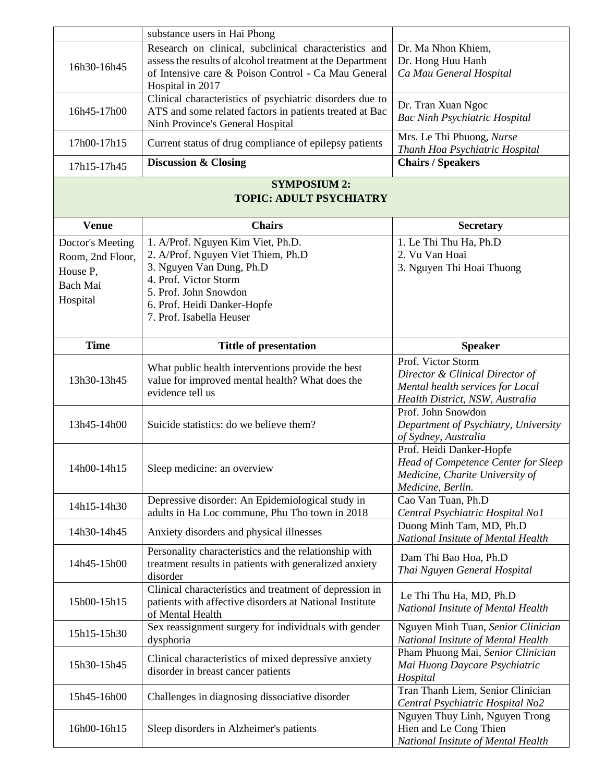|                  | substance users in Hai Phong                              |                                                                         |
|------------------|-----------------------------------------------------------|-------------------------------------------------------------------------|
|                  | Research on clinical, subclinical characteristics and     | Dr. Ma Nhon Khiem,                                                      |
| 16h30-16h45      | assess the results of alcohol treatment at the Department | Dr. Hong Huu Hanh                                                       |
|                  | of Intensive care & Poison Control - Ca Mau General       | Ca Mau General Hospital                                                 |
|                  | Hospital in 2017                                          |                                                                         |
|                  | Clinical characteristics of psychiatric disorders due to  | Dr. Tran Xuan Ngoc                                                      |
| 16h45-17h00      | ATS and some related factors in patients treated at Bac   | <b>Bac Ninh Psychiatric Hospital</b>                                    |
|                  | Ninh Province's General Hospital                          |                                                                         |
| 17h00-17h15      | Current status of drug compliance of epilepsy patients    | Mrs. Le Thi Phuong, Nurse                                               |
|                  |                                                           | Thanh Hoa Psychiatric Hospital                                          |
| 17h15-17h45      | <b>Discussion &amp; Closing</b>                           | <b>Chairs / Speakers</b>                                                |
|                  | <b>SYMPOSIUM 2:</b>                                       |                                                                         |
|                  | <b>TOPIC: ADULT PSYCHIATRY</b>                            |                                                                         |
| <b>Venue</b>     | <b>Chairs</b>                                             | <b>Secretary</b>                                                        |
|                  |                                                           |                                                                         |
| Doctor's Meeting | 1. A/Prof. Nguyen Kim Viet, Ph.D.                         | 1. Le Thi Thu Ha, Ph.D                                                  |
| Room, 2nd Floor, | 2. A/Prof. Nguyen Viet Thiem, Ph.D                        | 2. Vu Van Hoai                                                          |
| House P,         | 3. Nguyen Van Dung, Ph.D                                  | 3. Nguyen Thi Hoai Thuong                                               |
| Bach Mai         | 4. Prof. Victor Storm                                     |                                                                         |
| Hospital         | 5. Prof. John Snowdon<br>6. Prof. Heidi Danker-Hopfe      |                                                                         |
|                  | 7. Prof. Isabella Heuser                                  |                                                                         |
|                  |                                                           |                                                                         |
| <b>Time</b>      | <b>Tittle of presentation</b>                             | <b>Speaker</b>                                                          |
|                  |                                                           | Prof. Victor Storm                                                      |
|                  | What public health interventions provide the best         | Director & Clinical Director of                                         |
| 13h30-13h45      | value for improved mental health? What does the           | Mental health services for Local                                        |
|                  | evidence tell us                                          | Health District, NSW, Australia                                         |
|                  |                                                           | Prof. John Snowdon                                                      |
| 13h45-14h00      | Suicide statistics: do we believe them?                   | Department of Psychiatry, University                                    |
|                  |                                                           | of Sydney, Australia                                                    |
|                  |                                                           | Prof. Heidi Danker-Hopfe                                                |
| 14h00-14h15      | Sleep medicine: an overview                               | Head of Competence Center for Sleep                                     |
|                  |                                                           | Medicine, Charite University of                                         |
|                  |                                                           | Medicine, Berlin.                                                       |
| 14h15-14h30      | Depressive disorder: An Epidemiological study in          | Cao Van Tuan, Ph.D                                                      |
|                  | adults in Ha Loc commune, Phu Tho town in 2018            | Central Psychiatric Hospital No1                                        |
| 14h30-14h45      | Anxiety disorders and physical illnesses                  | Duong Minh Tam, MD, Ph.D                                                |
|                  |                                                           | National Insitute of Mental Health                                      |
|                  | Personality characteristics and the relationship with     | Dam Thi Bao Hoa, Ph.D                                                   |
| 14h45-15h00      | treatment results in patients with generalized anxiety    | Thai Nguyen General Hospital                                            |
|                  | disorder                                                  |                                                                         |
|                  | Clinical characteristics and treatment of depression in   | Le Thi Thu Ha, MD, Ph.D                                                 |
| 15h00-15h15      | patients with affective disorders at National Institute   | National Insitute of Mental Health                                      |
|                  | of Mental Health                                          |                                                                         |
| 15h15-15h30      | Sex reassignment surgery for individuals with gender      | Nguyen Minh Tuan, Senior Clinician                                      |
|                  | dysphoria                                                 | National Insitute of Mental Health<br>Pham Phuong Mai, Senior Clinician |
| 15h30-15h45      | Clinical characteristics of mixed depressive anxiety      | Mai Huong Daycare Psychiatric                                           |
|                  | disorder in breast cancer patients                        | Hospital                                                                |
|                  |                                                           | Tran Thanh Liem, Senior Clinician                                       |
| 15h45-16h00      | Challenges in diagnosing dissociative disorder            | Central Psychiatric Hospital No2                                        |
|                  |                                                           | Nguyen Thuy Linh, Nguyen Trong                                          |
| 16h00-16h15      | Sleep disorders in Alzheimer's patients                   | Hien and Le Cong Thien                                                  |
|                  |                                                           | National Insitute of Mental Health                                      |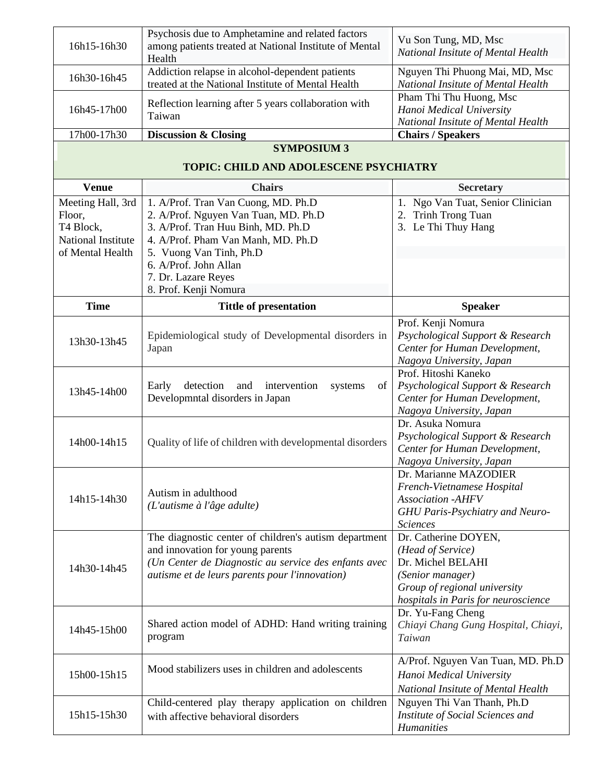| 16h15-16h30                                                                        | Psychosis due to Amphetamine and related factors<br>among patients treated at National Institute of Mental<br>Health                                                                                | Vu Son Tung, MD, Msc<br>National Insitute of Mental Health                                                                                                |
|------------------------------------------------------------------------------------|-----------------------------------------------------------------------------------------------------------------------------------------------------------------------------------------------------|-----------------------------------------------------------------------------------------------------------------------------------------------------------|
| 16h30-16h45                                                                        | Addiction relapse in alcohol-dependent patients<br>treated at the National Institute of Mental Health                                                                                               | Nguyen Thi Phuong Mai, MD, Msc<br>National Insitute of Mental Health                                                                                      |
| 16h45-17h00                                                                        | Reflection learning after 5 years collaboration with<br>Taiwan                                                                                                                                      | Pham Thi Thu Huong, Msc<br>Hanoi Medical University<br>National Insitute of Mental Health                                                                 |
| 17h00-17h30                                                                        | <b>Discussion &amp; Closing</b>                                                                                                                                                                     | <b>Chairs / Speakers</b>                                                                                                                                  |
|                                                                                    | <b>SYMPOSIUM 3</b>                                                                                                                                                                                  |                                                                                                                                                           |
|                                                                                    | TOPIC: CHILD AND ADOLESCENE PSYCHIATRY                                                                                                                                                              |                                                                                                                                                           |
| <b>Venue</b>                                                                       | <b>Chairs</b>                                                                                                                                                                                       | <b>Secretary</b>                                                                                                                                          |
| Meeting Hall, 3rd<br>Floor,<br>T4 Block,<br>National Institute<br>of Mental Health | 1. A/Prof. Tran Van Cuong, MD. Ph.D<br>2. A/Prof. Nguyen Van Tuan, MD. Ph.D<br>3. A/Prof. Tran Huu Binh, MD. Ph.D<br>4. A/Prof. Pham Van Manh, MD. Ph.D<br>5. Vuong Van Tinh, Ph.D                  | 1. Ngo Van Tuat, Senior Clinician<br>Trinh Trong Tuan<br>2.<br>3. Le Thi Thuy Hang                                                                        |
|                                                                                    | 6. A/Prof. John Allan                                                                                                                                                                               |                                                                                                                                                           |
|                                                                                    | 7. Dr. Lazare Reyes                                                                                                                                                                                 |                                                                                                                                                           |
|                                                                                    | 8. Prof. Kenji Nomura                                                                                                                                                                               |                                                                                                                                                           |
| <b>Time</b>                                                                        | <b>Tittle of presentation</b>                                                                                                                                                                       | <b>Speaker</b>                                                                                                                                            |
| 13h30-13h45                                                                        | Epidemiological study of Developmental disorders in<br>Japan                                                                                                                                        | Prof. Kenji Nomura<br>Psychological Support & Research<br>Center for Human Development,<br>Nagoya University, Japan                                       |
| 13h45-14h00                                                                        | detection<br>and<br>intervention<br>Early<br>systems<br>of<br>Developmntal disorders in Japan                                                                                                       | Prof. Hitoshi Kaneko<br>Psychological Support & Research<br>Center for Human Development,<br>Nagoya University, Japan                                     |
| 14h00-14h15                                                                        | Quality of life of children with developmental disorders                                                                                                                                            | Dr. Asuka Nomura<br>Psychological Support & Research<br>Center for Human Development,<br>Nagoya University, Japan                                         |
| 14h15-14h30                                                                        | Autism in adulthood<br>(L'autisme à l'âge adulte)                                                                                                                                                   | Dr. Marianne MAZODIER<br>French-Vietnamese Hospital<br><b>Association -AHFV</b><br>GHU Paris-Psychiatry and Neuro-<br><b>Sciences</b>                     |
| 14h30-14h45                                                                        | The diagnostic center of children's autism department<br>and innovation for young parents<br>(Un Center de Diagnostic au service des enfants avec<br>autisme et de leurs parents pour l'innovation) | Dr. Catherine DOYEN,<br>(Head of Service)<br>Dr. Michel BELAHI<br>(Senior manager)<br>Group of regional university<br>hospitals in Paris for neuroscience |
| 14h45-15h00                                                                        | Shared action model of ADHD: Hand writing training<br>program                                                                                                                                       | Dr. Yu-Fang Cheng<br>Chiayi Chang Gung Hospital, Chiayi,<br>Taiwan                                                                                        |
| 15h00-15h15                                                                        | Mood stabilizers uses in children and adolescents                                                                                                                                                   | A/Prof. Nguyen Van Tuan, MD. Ph.D<br>Hanoi Medical University<br>National Insitute of Mental Health                                                       |
| 15h15-15h30                                                                        | Child-centered play therapy application on children<br>with affective behavioral disorders                                                                                                          | Nguyen Thi Van Thanh, Ph.D<br>Institute of Social Sciences and<br><b>Humanities</b>                                                                       |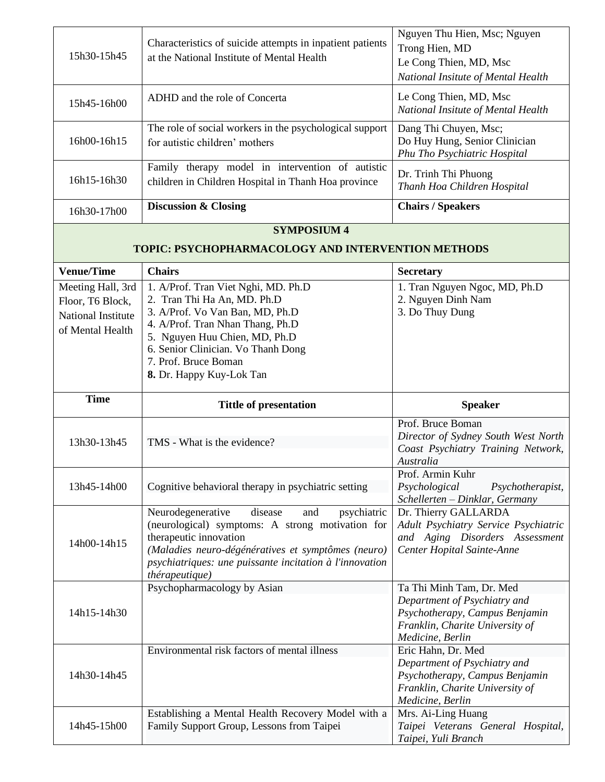| 15h30-15h45                                                                     | Characteristics of suicide attempts in inpatient patients<br>at the National Institute of Mental Health                                                                                                                                                              | Nguyen Thu Hien, Msc; Nguyen<br>Trong Hien, MD<br>Le Cong Thien, MD, Msc<br>National Insitute of Mental Health                                                    |  |
|---------------------------------------------------------------------------------|----------------------------------------------------------------------------------------------------------------------------------------------------------------------------------------------------------------------------------------------------------------------|-------------------------------------------------------------------------------------------------------------------------------------------------------------------|--|
| 15h45-16h00                                                                     | ADHD and the role of Concerta                                                                                                                                                                                                                                        | Le Cong Thien, MD, Msc<br>National Insitute of Mental Health                                                                                                      |  |
| 16h00-16h15                                                                     | The role of social workers in the psychological support<br>for autistic children' mothers                                                                                                                                                                            | Dang Thi Chuyen, Msc;<br>Do Huy Hung, Senior Clinician<br>Phu Tho Psychiatric Hospital                                                                            |  |
| 16h15-16h30                                                                     | Family therapy model in intervention of autistic<br>children in Children Hospital in Thanh Hoa province                                                                                                                                                              | Dr. Trinh Thi Phuong<br>Thanh Hoa Children Hospital                                                                                                               |  |
| 16h30-17h00                                                                     | <b>Discussion &amp; Closing</b>                                                                                                                                                                                                                                      | <b>Chairs / Speakers</b>                                                                                                                                          |  |
| <b>SYMPOSIUM 4</b><br><b>TOPIC: PSYCHOPHARMACOLOGY AND INTERVENTION METHODS</b> |                                                                                                                                                                                                                                                                      |                                                                                                                                                                   |  |
| <b>Venue/Time</b>                                                               | <b>Chairs</b>                                                                                                                                                                                                                                                        | <b>Secretary</b>                                                                                                                                                  |  |
| Meeting Hall, 3rd<br>Floor, T6 Block,<br>National Institute<br>of Mental Health | 1. A/Prof. Tran Viet Nghi, MD. Ph.D<br>2. Tran Thi Ha An, MD. Ph.D<br>3. A/Prof. Vo Van Ban, MD, Ph.D<br>4. A/Prof. Tran Nhan Thang, Ph.D<br>5. Nguyen Huu Chien, MD, Ph.D<br>6. Senior Clinician. Vo Thanh Dong<br>7. Prof. Bruce Boman<br>8. Dr. Happy Kuy-Lok Tan | 1. Tran Nguyen Ngoc, MD, Ph.D<br>2. Nguyen Dinh Nam<br>3. Do Thuy Dung                                                                                            |  |
|                                                                                 |                                                                                                                                                                                                                                                                      |                                                                                                                                                                   |  |
| <b>Time</b>                                                                     | <b>Tittle of presentation</b>                                                                                                                                                                                                                                        | <b>Speaker</b>                                                                                                                                                    |  |
| 13h30-13h45                                                                     | TMS - What is the evidence?                                                                                                                                                                                                                                          | Prof. Bruce Boman<br>Director of Sydney South West North<br>Coast Psychiatry Training Network,<br>Australia                                                       |  |
| 13h45-14h00                                                                     | Cognitive behavioral therapy in psychiatric setting                                                                                                                                                                                                                  | Prof. Armin Kuhr<br>Psychotherapist,<br>Psychological<br>Schellerten - Dinklar, Germany                                                                           |  |
| 14h00-14h15                                                                     | disease<br>Neurodegenerative<br>psychiatric<br>and<br>(neurological) symptoms: A strong motivation for<br>therapeutic innovation<br>(Maladies neuro-dégénératives et symptômes (neuro)<br>psychiatriques: une puissante incitation à l'innovation<br>thérapeutique)  | Dr. Thierry GALLARDA<br>Adult Psychiatry Service Psychiatric<br>and Aging Disorders Assessment<br>Center Hopital Sainte-Anne                                      |  |
| 14h15-14h30                                                                     | Psychopharmacology by Asian                                                                                                                                                                                                                                          | Ta Thi Minh Tam, Dr. Med<br>Department of Psychiatry and<br>Psychotherapy, Campus Benjamin<br>Franklin, Charite University of<br>Medicine, Berlin                 |  |
| 14h30-14h45                                                                     | Environmental risk factors of mental illness<br>Establishing a Mental Health Recovery Model with a                                                                                                                                                                   | Eric Hahn, Dr. Med<br>Department of Psychiatry and<br>Psychotherapy, Campus Benjamin<br>Franklin, Charite University of<br>Medicine, Berlin<br>Mrs. Ai-Ling Huang |  |